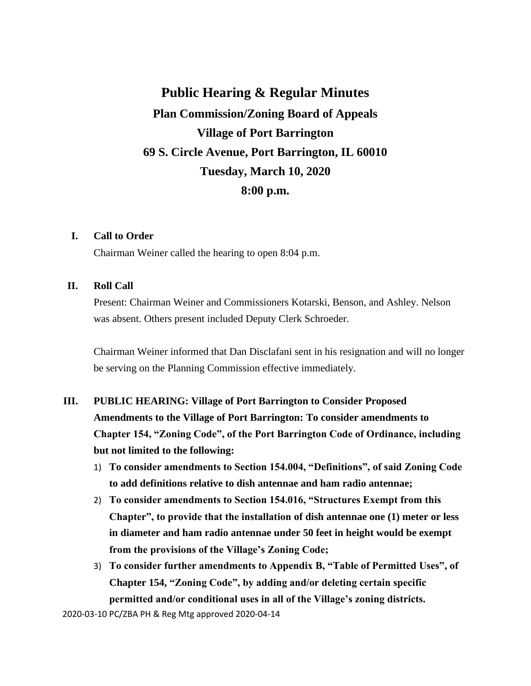**Public Hearing & Regular Minutes Plan Commission/Zoning Board of Appeals Village of Port Barrington 69 S. Circle Avenue, Port Barrington, IL 60010 Tuesday, March 10, 2020 8:00 p.m.**

#### **I. Call to Order**

Chairman Weiner called the hearing to open 8:04 p.m.

#### **II. Roll Call**

Present: Chairman Weiner and Commissioners Kotarski, Benson, and Ashley. Nelson was absent. Others present included Deputy Clerk Schroeder.

Chairman Weiner informed that Dan Disclafani sent in his resignation and will no longer be serving on the Planning Commission effective immediately.

## **III. PUBLIC HEARING: Village of Port Barrington to Consider Proposed Amendments to the Village of Port Barrington: To consider amendments to Chapter 154, "Zoning Code", of the Port Barrington Code of Ordinance, including but not limited to the following:**

- 1) **To consider amendments to Section 154.004, "Definitions", of said Zoning Code to add definitions relative to dish antennae and ham radio antennae;**
- 2) **To consider amendments to Section 154.016, "Structures Exempt from this Chapter", to provide that the installation of dish antennae one (1) meter or less in diameter and ham radio antennae under 50 feet in height would be exempt from the provisions of the Village's Zoning Code;**
- 3) **To consider further amendments to Appendix B, "Table of Permitted Uses", of Chapter 154, "Zoning Code", by adding and/or deleting certain specific permitted and/or conditional uses in all of the Village's zoning districts.**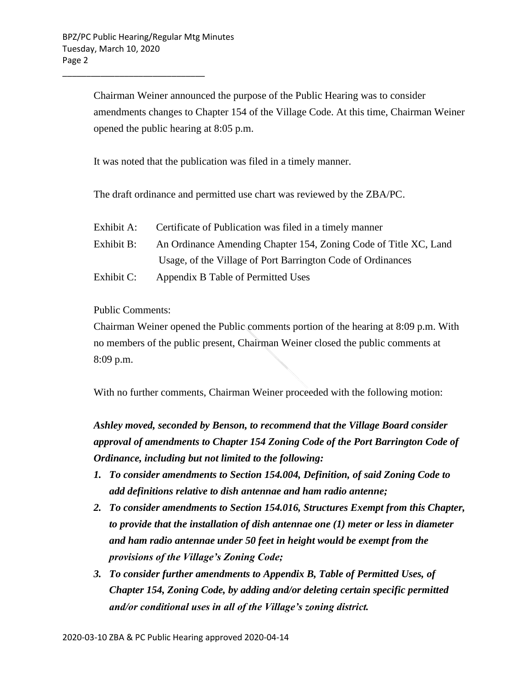\_\_\_\_\_\_\_\_\_\_\_\_\_\_\_\_\_\_\_\_\_\_\_\_\_\_\_\_\_\_

Chairman Weiner announced the purpose of the Public Hearing was to consider amendments changes to Chapter 154 of the Village Code. At this time, Chairman Weiner opened the public hearing at 8:05 p.m.

It was noted that the publication was filed in a timely manner.

The draft ordinance and permitted use chart was reviewed by the ZBA/PC.

- Exhibit A: Certificate of Publication was filed in a timely manner
- Exhibit B: An Ordinance Amending Chapter 154, Zoning Code of Title XC, Land Usage, of the Village of Port Barrington Code of Ordinances
- Exhibit C: Appendix B Table of Permitted Uses

Public Comments:

Chairman Weiner opened the Public comments portion of the hearing at 8:09 p.m. With no members of the public present, Chairman Weiner closed the public comments at 8:09 p.m.

With no further comments, Chairman Weiner proceeded with the following motion:

*Ashley moved, seconded by Benson, to recommend that the Village Board consider approval of amendments to Chapter 154 Zoning Code of the Port Barrington Code of Ordinance, including but not limited to the following:*

- *1. To consider amendments to Section 154.004, Definition, of said Zoning Code to add definitions relative to dish antennae and ham radio antenne;*
- *2. To consider amendments to Section 154.016, Structures Exempt from this Chapter, to provide that the installation of dish antennae one (1) meter or less in diameter and ham radio antennae under 50 feet in height would be exempt from the provisions of the Village's Zoning Code;*
- *3. To consider further amendments to Appendix B, Table of Permitted Uses, of Chapter 154, Zoning Code, by adding and/or deleting certain specific permitted and/or conditional uses in all of the Village's zoning district.*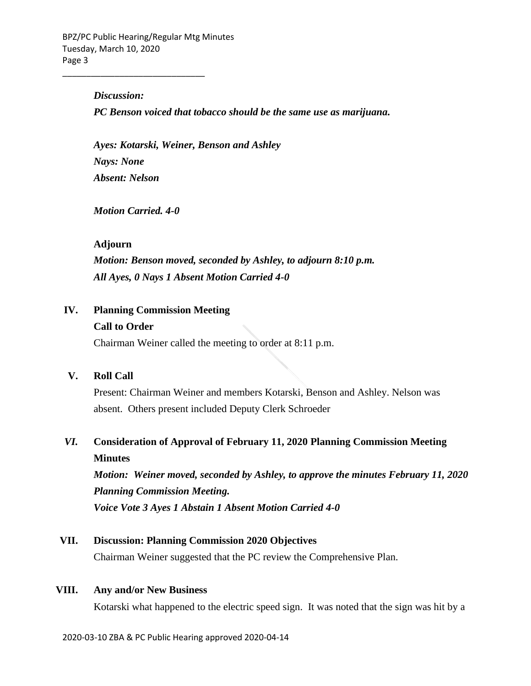#### *Discussion:*

\_\_\_\_\_\_\_\_\_\_\_\_\_\_\_\_\_\_\_\_\_\_\_\_\_\_\_\_\_\_

*PC Benson voiced that tobacco should be the same use as marijuana.*

*Ayes: Kotarski, Weiner, Benson and Ashley Nays: None Absent: Nelson*

*Motion Carried. 4-0*

#### **Adjourn**

*Motion: Benson moved, seconded by Ashley, to adjourn 8:10 p.m. All Ayes, 0 Nays 1 Absent Motion Carried 4-0*

#### **IV. Planning Commission Meeting**

#### **Call to Order**

Chairman Weiner called the meeting to order at 8:11 p.m.

#### **V. Roll Call**

Present: Chairman Weiner and members Kotarski, Benson and Ashley. Nelson was absent. Others present included Deputy Clerk Schroeder

# *VI.* **Consideration of Approval of February 11, 2020 Planning Commission Meeting Minutes**

*Motion: Weiner moved, seconded by Ashley, to approve the minutes February 11, 2020 Planning Commission Meeting. Voice Vote 3 Ayes 1 Abstain 1 Absent Motion Carried 4-0*

## **VII. Discussion: Planning Commission 2020 Objectives**

Chairman Weiner suggested that the PC review the Comprehensive Plan.

#### **VIII. Any and/or New Business**

Kotarski what happened to the electric speed sign. It was noted that the sign was hit by a